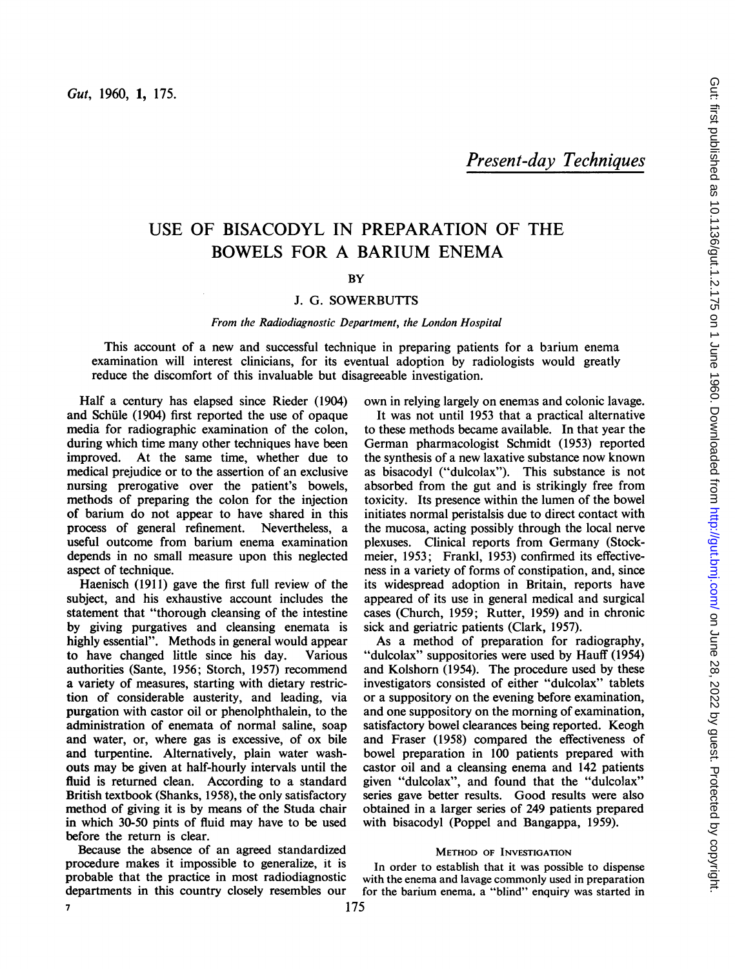Present-day Techniques

# USE OF BISACODYL IN PREPARATION OF THE BOWELS FOR A BARIUM ENEMA

# **BY**

# J. G. SOWERBUTTS

### From the Radiodiagnostic Department, the London Hospital

This account of a new and successful technique in preparing patients for <sup>a</sup> barium enema examination will interest clinicians, for its eventual adoption by radiologists would greatly reduce the discomfort of this invaluable but disagreeable investigation.

Half a century has elapsed since Rieder (1904) and Schiule (1904) first reported the use of opaque media for radiographic examination of the colon, during which time many other techniques have been improved. At the same time, whether due to medical prejudice or to the assertion of an exclusive nursing prerogative over the patient's bowels, methods of preparing the colon for the injection of barium do not appear to have shared in this process of general refinement. Nevertheless, a useful outcome from barium enema examination depends in no small measure upon this neglected aspect of technique.

Haenisch (1911) gave the first full review of the subject, and his exhaustive account includes the statement that "thorough cleansing of the intestine by giving purgatives and cleansing enemata is highly essential". Methods in general would appear to have changed little since his day. Various authorities (Sante, 1956; Storch, 1957) recommend a variety of measures, starting with dietary restriction of considerable austerity, and leading, via purgation with castor oil or phenolphthalein, to the administration of enemata of normal saline, soap and water, or, where gas is excessive, of ox bile and turpentine. Alternatively, plain water washouts may be given at half-hourly intervals until the fluid is returned clean. According to a standard British textbook (Shanks, 1958), the only satisfactory method of giving it is by means of the Studa chair in which 30-50 pints of fluid may have to be used before the return is clear.

Because the absence of an agreed standardized procedure makes it impossible to generalize, it is probable that the practice in most radiodiagnostic departments in this country closely resembles our own in relying largely on enemas and colonic lavage.

It was not until 1953 that a practical alternative to these methods became available. In that year the German pharmacologist Schmidt (1953) reported the synthesis of a new laxative substance now known as bisacodyl ("dulcolax"). This substance is not absorbed from the gut and is strikingly free from toxicity. Its presence within the lumen of the bowel initiates normal peristalsis due to direct contact with the mucosa, acting possibly through the local nerve plexuses. Clinical reports from Germany (Stockmeier, 1953; Frankl, 1953) confirmed its effectiveness in a variety of forms of constipation, and, since its widespread adoption in Britain, reports have appeared of its use in general medical and surgical cases (Church, 1959; Rutter, 1959) and in chronic sick and geriatric patients (Clark, 1957).

As a method of preparation for radiography, "dulcolax" suppositories were used by Hauff (1954) and Kolshorn (1954). The procedure used by these investigators consisted of either "dulcolax" tablets or a suppository on the evening before examination, and one suppository on the morning of examination, satisfactory bowel clearances being reported. Keogh and Fraser (1958) compared the effectiveness of bowel preparation in 100 patients prepared with castor oil and a cleansing enema and 142 patients given "dulcolax", and found that the "dulcolax" series gave better results. Good results were also obtained in a larger series of 249 patients prepared with bisacodyl (Poppel and Bangappa, 1959).

#### METHOD OF INVESTIGATION

In order to establish that it was possible to dispense with the enema and lavage commonly used in preparation for the barium enema. a "blind" enquiry was started in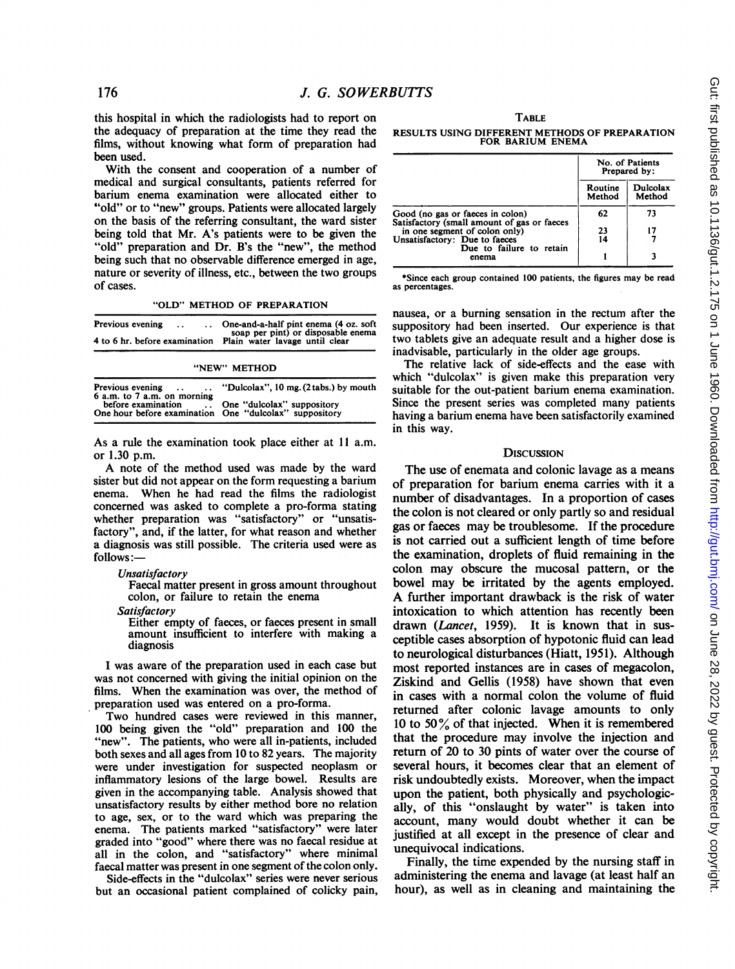this hospital in which the radiologists had to report on the adequacy of preparation at the time they read the films, without knowing what form of preparation had been used.

With the consent and cooperation of a number of medical and surgical consultants, patients referred for barium enema examination were allocated either to "old" or to "new" groups. Patients were allocated largely on the basis of the referring consultant, the ward sister being told that Mr. A's patients were to be given the "old" preparation and Dr. B's the "new", the method being such that no observable difference emerged in age, nature or severity of illness, etc., between the two groups of cases.

"OLD" METHOD OF PREPARATION

| Previous evening<br>$\sim$ $\sim$ | One-and-a-half pint enema (4 oz. soft)<br>soap per pint) or disposable enema<br>4 to 6 hr. before examination Plain water lavage until clear |
|-----------------------------------|----------------------------------------------------------------------------------------------------------------------------------------------|
|                                   | "NEW" METHOD                                                                                                                                 |

| 6 a.m. to 7 a.m. on morning<br>before examination<br>One hour before examination One "dulcolax" suppository | Previous evening  "Dulcolax", 10 mg. (2 tabs.) by mouth |  |
|-------------------------------------------------------------------------------------------------------------|---------------------------------------------------------|--|
|                                                                                                             | One "dulcolax" suppository                              |  |

As a rule the examination took place either at <sup>11</sup> a.m. or 1.30 p.m.

A note of the method used was made by the ward sister but did not appear on the form requesting a barium enema. When he had read the films the radiologist concerned was asked to complete a pro-forma stating whether preparation was "satisfactory" or "unsatisfactory", and, if the latter, for what reason and whether a diagnosis was still possible. The criteria used were as follows:-

#### **Unsatisfactory**

Faecal matter present in gross amount throughout colon, or failure to retain the enema

Satisfactory

Either empty of faeces, or faeces present in small amount insufficient to interfere with making a diagnosis

I was aware of the preparation used in each case but was not concerned with giving the initial opinion on the films. When the examination was over, the method of preparation used was entered on a pro-forma.

Two hundred cases were reviewed in this manner, 100 being given the "old" preparation and 100 the "new". The patients, who were all in-patients, included both sexes and all ages from 10 to 82 years. The majority were under investigation for suspected neoplasm or inflammatory lesions of the large bowel. Results are given in the accompanying table. Analysis showed that unsatisfactory results by either method bore no relation to age, sex, or to the ward which was preparing the enema. The patients marked "satisfactory" were later graded into "good" where there was no faecal residue at all in the colon, and "satisfactory" where minimal faecal matter was present in one segment of the colon only.

Side-effects in the "dulcolax" series were never serious but an occasional patient complained of colicky pain,

**TABLE** RESULTS USING DIFFERENT METHODS OF PREPARATION FOR BARIUM ENEMA

|                                                                                                               | No. of Patients<br>Prepared by: |                    |
|---------------------------------------------------------------------------------------------------------------|---------------------------------|--------------------|
|                                                                                                               | Routine<br>Method               | Dulcolax<br>Method |
| Good (no gas or faeces in colon)                                                                              | 62                              | 73                 |
| Satisfactory (small amount of gas or faeces<br>in one segment of colon only)<br>Unsatisfactory: Due to faeces | 23<br>14                        | 17                 |
| Due to failure to retain<br>enema                                                                             |                                 |                    |

\*Since each group contained 100 patients, the figures may be read as percentages.

nausea, or a burning sensation in the rectum after the suppository had been inserted. Our experience is that two tablets give an adequate result and a higher dose is inadvisable, particularly in the older age groups.

The relative lack of side-effects and the ease with which "dulcolax" is given make this preparation very suitable for the out-patient barium enema examination. Since the present series was completed many patients having a barium enema have been satisfactorily examined in this way.

#### **DISCUSSION**

The use of enemata and colonic lavage as a means of preparation for barium enema carries with it a number of disadvantages. In a proportion of cases the colon is not cleared or only partly so and residual gas or faeces may be troublesome. If the procedure is not carried out a sufficient length of time before the examination, droplets of fluid remaining in the colon may obscure the mucosal pattern, or the bowel may be irritated by the agents employed. A further important drawback is the risk of water intoxication to which attention has recently been drawn (Lancet, 1959). It is known that in susceptible cases absorption of hypotonic fluid can lead to neurological disturbances (Hiatt, 1951). Although most reported instances are in cases of megacolon, Ziskind and Gellis (1958) have shown that even in cases with a normal colon the volume of fluid returned after colonic lavage amounts to only 10 to 50 $\%$  of that injected. When it is remembered that the procedure may involve the injection and return of 20 to 30 pints of water over the course of several hours, it becomes clear that an element of risk undoubtedly exists. Moreover, when the impact upon the patient, both physically and psychologically, of this "onslaught by water" is taken into account, many would doubt whether it can be justified at all except in the presence of clear and unequivocal indications.

Finally, the time expended by the nursing staff in administering the enema and lavage (at least half an hour), as well as in cleaning and maintaining the